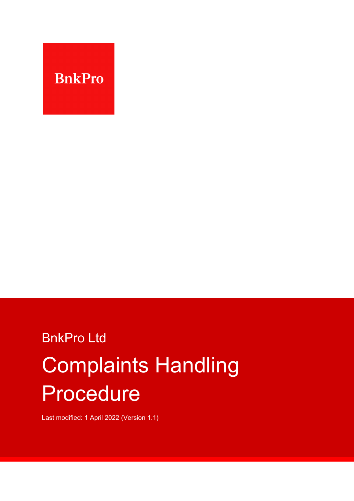

# BnkPro Ltd Complaints Handling Procedure

Last modified: 1 April 2022 (Version 1.1)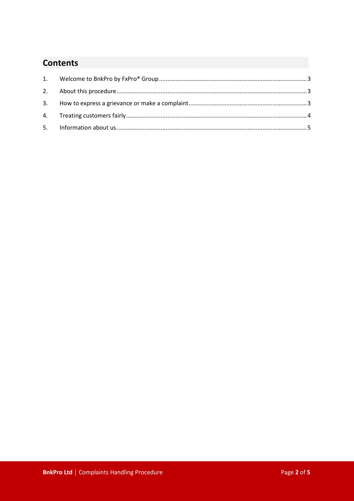## **Contents**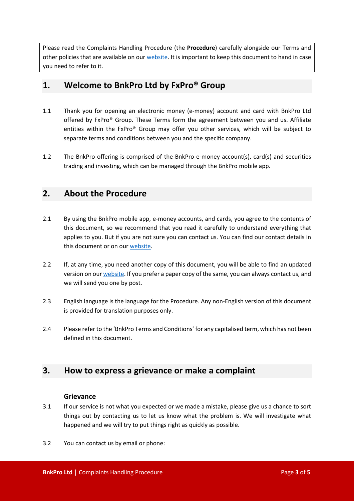Please read the Complaints Handling Procedure (the **Procedure**) carefully alongside our Terms and other policies that are available on our [web](https://bnkpro.com/)site. It is important to keep this document to hand in case you need to refer to it.

## <span id="page-2-0"></span>**1. Welcome to BnkPro Ltd by FxPro® Group**

- 1.1 Thank you for opening an electronic money (e-money) account and card with BnkPro Ltd offered by FxPro® Group. These Terms form the agreement between you and us. Affiliate entities within the FxPro® Group may offer you other services, which will be subject to separate terms and conditions between you and the specific company.
- 1.2 The BnkPro offering is comprised of the BnkPro e-money account(s), card(s) and securities trading and investing, which can be managed through the BnkPro mobile app.

## <span id="page-2-1"></span>**2. About the Procedure**

- 2.1 By using the BnkPro mobile app, e-money accounts, and cards, you agree to the contents of this document, so we recommend that you read it carefully to understand everything that applies to you. But if you are not sure you can contact us. You can find our contact details in this document or on ou[r web](https://bnkpro.com/)site.
- 2.2 If, at any time, you need another copy of this document, you will be able to find an updated version on our [web](https://bnkpro.com/)site. If you prefer a paper copy of the same, you can always contact us, and we will send you one by post.
- 2.3 English language is the language for the Procedure. Any non-English version of this document is provided for translation purposes only.
- 2.4 Please refer to the 'BnkPro Terms and Conditions' for any capitalised term, which has not been defined in this document.

## <span id="page-2-2"></span>**3. How to express a grievance or make a complaint**

#### **Grievance**

- 3.1 If our service is not what you expected or we made a mistake, please give us a chance to sort things out by contacting us to let us know what the problem is. We will investigate what happened and we will try to put things right as quickly as possible.
- 3.2 You can contact us by email or phone: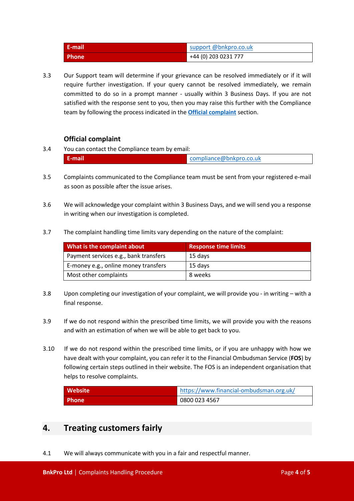| E-mail       | support @bnkpro.co.uk |
|--------------|-----------------------|
| <b>Phone</b> | +44 (0) 203 0231 777  |

3.3 Our Support team will determine if your grievance can be resolved immediately or if it will require further investigation. If your query cannot be resolved immediately, we remain committed to do so in a prompt manner - usually within 3 Business Days. If you are not satisfied with the response sent to you, then you may raise this further with the Compliance team by following the process indicated in the **[Official complaint](#page-3-1)** section.

#### **Official complaint**

<span id="page-3-1"></span>3.4 You can contact the Compliance team by email:

| المتماسية والمرموم مستحدث<br>bnkpro.co.uk |
|-------------------------------------------|
|-------------------------------------------|

- 3.5 Complaints communicated to the Compliance team must be sent from your registered e-mail as soon as possible after the issue arises.
- 3.6 We will acknowledge your complaint within 3 Business Days, and we will send you a response in writing when our investigation is completed.
- 3.7 The complaint handling time limits vary depending on the nature of the complaint:

| What is the complaint about           | <b>Response time limits</b> |
|---------------------------------------|-----------------------------|
| Payment services e.g., bank transfers | 15 days                     |
| E-money e.g., online money transfers  | 15 days                     |
| Most other complaints                 | 8 weeks                     |

- 3.8 Upon completing our investigation of your complaint, we will provide you in writing with a final response.
- 3.9 If we do not respond within the prescribed time limits, we will provide you with the reasons and with an estimation of when we will be able to get back to you.
- 3.10 If we do not respond within the prescribed time limits, or if you are unhappy with how we have dealt with your complaint, you can refer it to the Financial Ombudsman Service (**FOS**) by following certain steps outlined in their website. The FOS is an independent organisation that helps to resolve complaints.

| <b>Website</b> | https://www.financial-ombudsman.org.uk/ |
|----------------|-----------------------------------------|
| <b>Phone</b>   | 0800 023 4567                           |

## <span id="page-3-0"></span>**4. Treating customers fairly**

4.1 We will always communicate with you in a fair and respectful manner.